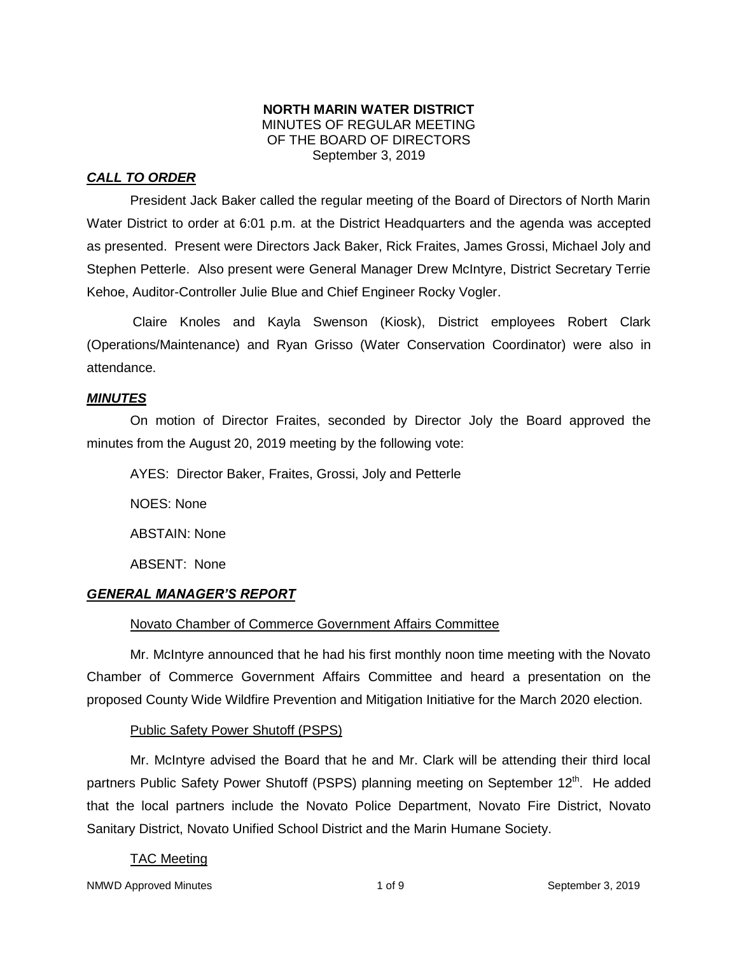#### **NORTH MARIN WATER DISTRICT** MINUTES OF REGULAR MEETING OF THE BOARD OF DIRECTORS September 3, 2019

## *CALL TO ORDER*

President Jack Baker called the regular meeting of the Board of Directors of North Marin Water District to order at 6:01 p.m. at the District Headquarters and the agenda was accepted as presented. Present were Directors Jack Baker, Rick Fraites, James Grossi, Michael Joly and Stephen Petterle. Also present were General Manager Drew McIntyre, District Secretary Terrie Kehoe, Auditor-Controller Julie Blue and Chief Engineer Rocky Vogler.

Claire Knoles and Kayla Swenson (Kiosk), District employees Robert Clark (Operations/Maintenance) and Ryan Grisso (Water Conservation Coordinator) were also in attendance.

#### *MINUTES*

On motion of Director Fraites, seconded by Director Joly the Board approved the minutes from the August 20, 2019 meeting by the following vote:

AYES: Director Baker, Fraites, Grossi, Joly and Petterle NOES: None ABSTAIN: None ABSENT: None

## *GENERAL MANAGER'S REPORT*

## Novato Chamber of Commerce Government Affairs Committee

Mr. McIntyre announced that he had his first monthly noon time meeting with the Novato Chamber of Commerce Government Affairs Committee and heard a presentation on the proposed County Wide Wildfire Prevention and Mitigation Initiative for the March 2020 election.

## Public Safety Power Shutoff (PSPS)

Mr. McIntyre advised the Board that he and Mr. Clark will be attending their third local partners Public Safety Power Shutoff (PSPS) planning meeting on September 12<sup>th</sup>. He added that the local partners include the Novato Police Department, Novato Fire District, Novato Sanitary District, Novato Unified School District and the Marin Humane Society.

## TAC Meeting

NMWD Approved Minutes and the state of the 1 of 9 September 3, 2019 and 1 of 9 September 3, 2019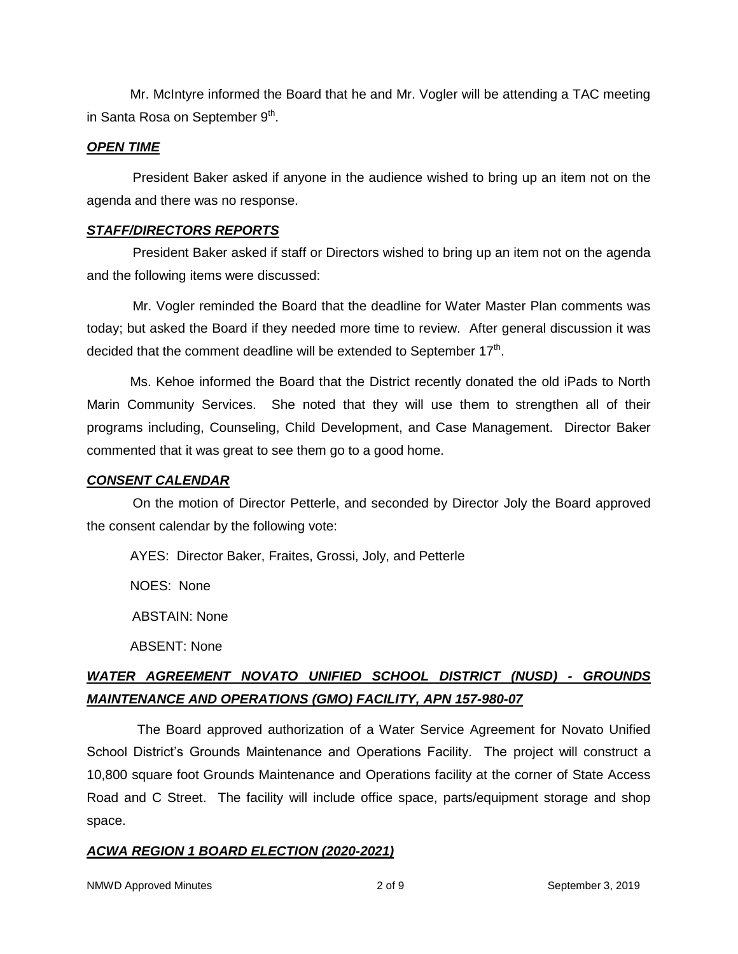Mr. McIntyre informed the Board that he and Mr. Vogler will be attending a TAC meeting in Santa Rosa on September  $9<sup>th</sup>$ .

#### *OPEN TIME*

President Baker asked if anyone in the audience wished to bring up an item not on the agenda and there was no response.

#### *STAFF/DIRECTORS REPORTS*

President Baker asked if staff or Directors wished to bring up an item not on the agenda and the following items were discussed:

Mr. Vogler reminded the Board that the deadline for Water Master Plan comments was today; but asked the Board if they needed more time to review. After general discussion it was decided that the comment deadline will be extended to September 17<sup>th</sup>.

Ms. Kehoe informed the Board that the District recently donated the old iPads to North Marin Community Services. She noted that they will use them to strengthen all of their programs including, Counseling, Child Development, and Case Management. Director Baker commented that it was great to see them go to a good home.

#### *CONSENT CALENDAR*

On the motion of Director Petterle, and seconded by Director Joly the Board approved the consent calendar by the following vote:

AYES: Director Baker, Fraites, Grossi, Joly, and Petterle

NOES: None

ABSTAIN: None

ABSENT: None

## *WATER AGREEMENT NOVATO UNIFIED SCHOOL DISTRICT (NUSD) - GROUNDS MAINTENANCE AND OPERATIONS (GMO) FACILITY, APN 157-980-07*

 The Board approved authorization of a Water Service Agreement for Novato Unified School District's Grounds Maintenance and Operations Facility. The project will construct a 10,800 square foot Grounds Maintenance and Operations facility at the corner of State Access Road and C Street. The facility will include office space, parts/equipment storage and shop space.

#### *ACWA REGION 1 BOARD ELECTION (2020-2021)*

NMWD Approved Minutes and the control of  $2$  of 9 September 3, 2019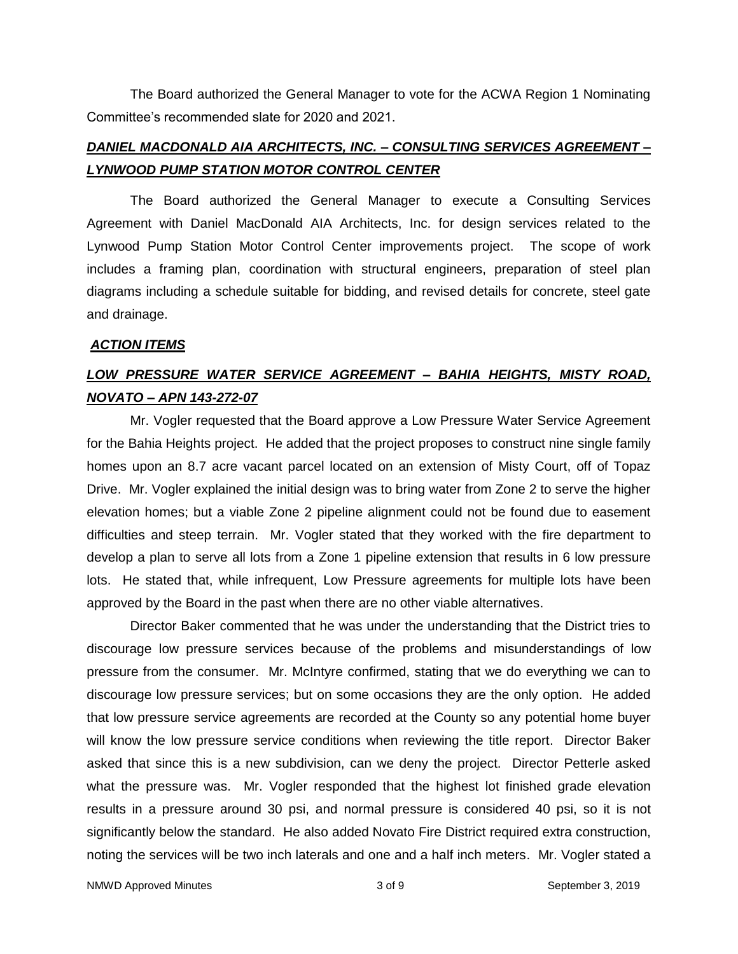The Board authorized the General Manager to vote for the ACWA Region 1 Nominating Committee's recommended slate for 2020 and 2021.

## *DANIEL MACDONALD AIA ARCHITECTS, INC. – CONSULTING SERVICES AGREEMENT – LYNWOOD PUMP STATION MOTOR CONTROL CENTER*

The Board authorized the General Manager to execute a Consulting Services Agreement with Daniel MacDonald AIA Architects, Inc. for design services related to the Lynwood Pump Station Motor Control Center improvements project. The scope of work includes a framing plan, coordination with structural engineers, preparation of steel plan diagrams including a schedule suitable for bidding, and revised details for concrete, steel gate and drainage.

#### *ACTION ITEMS*

# *LOW PRESSURE WATER SERVICE AGREEMENT – BAHIA HEIGHTS, MISTY ROAD, NOVATO – APN 143-272-07*

Mr. Vogler requested that the Board approve a Low Pressure Water Service Agreement for the Bahia Heights project. He added that the project proposes to construct nine single family homes upon an 8.7 acre vacant parcel located on an extension of Misty Court, off of Topaz Drive. Mr. Vogler explained the initial design was to bring water from Zone 2 to serve the higher elevation homes; but a viable Zone 2 pipeline alignment could not be found due to easement difficulties and steep terrain. Mr. Vogler stated that they worked with the fire department to develop a plan to serve all lots from a Zone 1 pipeline extension that results in 6 low pressure lots. He stated that, while infrequent, Low Pressure agreements for multiple lots have been approved by the Board in the past when there are no other viable alternatives.

Director Baker commented that he was under the understanding that the District tries to discourage low pressure services because of the problems and misunderstandings of low pressure from the consumer. Mr. McIntyre confirmed, stating that we do everything we can to discourage low pressure services; but on some occasions they are the only option. He added that low pressure service agreements are recorded at the County so any potential home buyer will know the low pressure service conditions when reviewing the title report. Director Baker asked that since this is a new subdivision, can we deny the project. Director Petterle asked what the pressure was. Mr. Vogler responded that the highest lot finished grade elevation results in a pressure around 30 psi, and normal pressure is considered 40 psi, so it is not significantly below the standard. He also added Novato Fire District required extra construction, noting the services will be two inch laterals and one and a half inch meters. Mr. Vogler stated a

NMWD Approved Minutes and the state of  $\sim$  3 of 9 September 3, 2019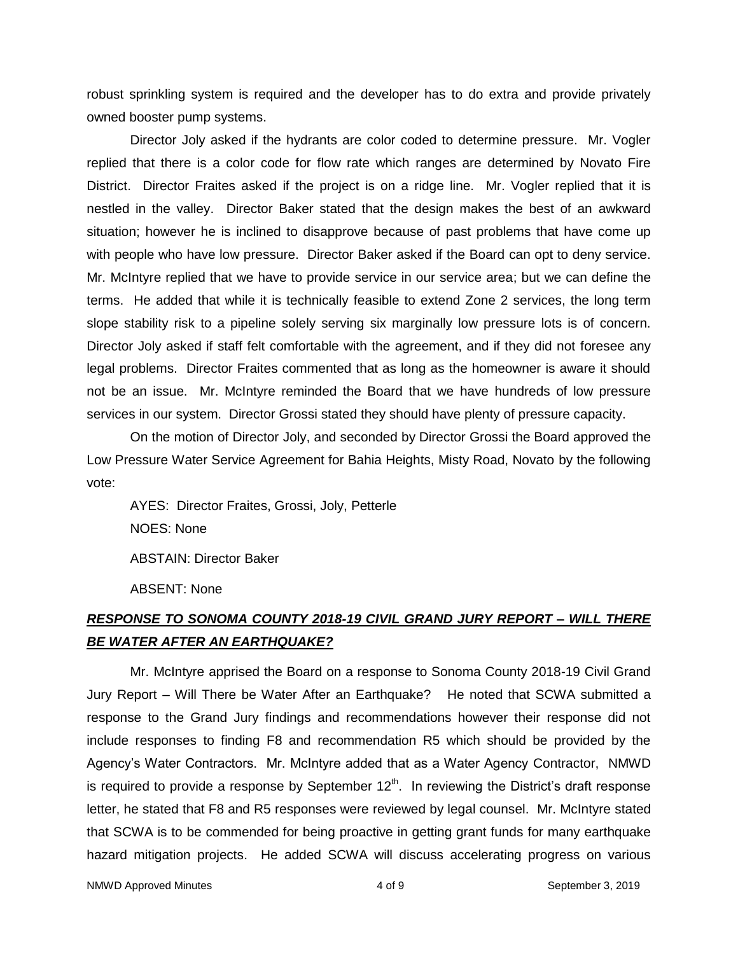robust sprinkling system is required and the developer has to do extra and provide privately owned booster pump systems.

Director Joly asked if the hydrants are color coded to determine pressure. Mr. Vogler replied that there is a color code for flow rate which ranges are determined by Novato Fire District. Director Fraites asked if the project is on a ridge line. Mr. Vogler replied that it is nestled in the valley. Director Baker stated that the design makes the best of an awkward situation; however he is inclined to disapprove because of past problems that have come up with people who have low pressure. Director Baker asked if the Board can opt to deny service. Mr. McIntyre replied that we have to provide service in our service area; but we can define the terms. He added that while it is technically feasible to extend Zone 2 services, the long term slope stability risk to a pipeline solely serving six marginally low pressure lots is of concern. Director Joly asked if staff felt comfortable with the agreement, and if they did not foresee any legal problems. Director Fraites commented that as long as the homeowner is aware it should not be an issue. Mr. McIntyre reminded the Board that we have hundreds of low pressure services in our system. Director Grossi stated they should have plenty of pressure capacity.

On the motion of Director Joly, and seconded by Director Grossi the Board approved the Low Pressure Water Service Agreement for Bahia Heights, Misty Road, Novato by the following vote:

AYES: Director Fraites, Grossi, Joly, Petterle NOES: None ABSTAIN: Director Baker ABSENT: None

## *RESPONSE TO SONOMA COUNTY 2018-19 CIVIL GRAND JURY REPORT – WILL THERE BE WATER AFTER AN EARTHQUAKE?*

Mr. McIntyre apprised the Board on a response to Sonoma County 2018-19 Civil Grand Jury Report – Will There be Water After an Earthquake? He noted that SCWA submitted a response to the Grand Jury findings and recommendations however their response did not include responses to finding F8 and recommendation R5 which should be provided by the Agency's Water Contractors. Mr. McIntyre added that as a Water Agency Contractor, NMWD is required to provide a response by September 12<sup>th</sup>. In reviewing the District's draft response letter, he stated that F8 and R5 responses were reviewed by legal counsel. Mr. McIntyre stated that SCWA is to be commended for being proactive in getting grant funds for many earthquake hazard mitigation projects. He added SCWA will discuss accelerating progress on various

NMWD Approved Minutes and the separate control of  $\frac{4}{100}$  of 9 September 3, 2019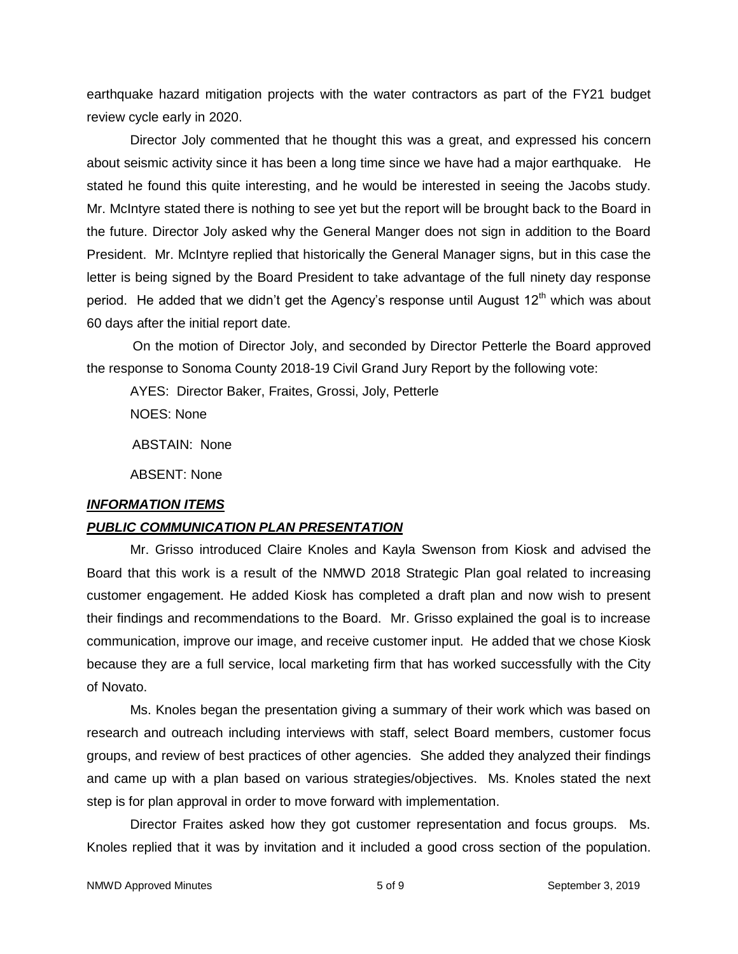earthquake hazard mitigation projects with the water contractors as part of the FY21 budget review cycle early in 2020.

Director Joly commented that he thought this was a great, and expressed his concern about seismic activity since it has been a long time since we have had a major earthquake. He stated he found this quite interesting, and he would be interested in seeing the Jacobs study. Mr. McIntyre stated there is nothing to see yet but the report will be brought back to the Board in the future. Director Joly asked why the General Manger does not sign in addition to the Board President. Mr. McIntyre replied that historically the General Manager signs, but in this case the letter is being signed by the Board President to take advantage of the full ninety day response period. He added that we didn't get the Agency's response until August  $12<sup>th</sup>$  which was about 60 days after the initial report date.

On the motion of Director Joly, and seconded by Director Petterle the Board approved the response to Sonoma County 2018-19 Civil Grand Jury Report by the following vote:

AYES: Director Baker, Fraites, Grossi, Joly, Petterle

NOES: None

ABSTAIN: None

ABSENT: None

#### *INFORMATION ITEMS*

#### *PUBLIC COMMUNICATION PLAN PRESENTATION*

Mr. Grisso introduced Claire Knoles and Kayla Swenson from Kiosk and advised the Board that this work is a result of the NMWD 2018 Strategic Plan goal related to increasing customer engagement. He added Kiosk has completed a draft plan and now wish to present their findings and recommendations to the Board. Mr. Grisso explained the goal is to increase communication, improve our image, and receive customer input. He added that we chose Kiosk because they are a full service, local marketing firm that has worked successfully with the City of Novato.

Ms. Knoles began the presentation giving a summary of their work which was based on research and outreach including interviews with staff, select Board members, customer focus groups, and review of best practices of other agencies. She added they analyzed their findings and came up with a plan based on various strategies/objectives. Ms. Knoles stated the next step is for plan approval in order to move forward with implementation.

Director Fraites asked how they got customer representation and focus groups. Ms. Knoles replied that it was by invitation and it included a good cross section of the population.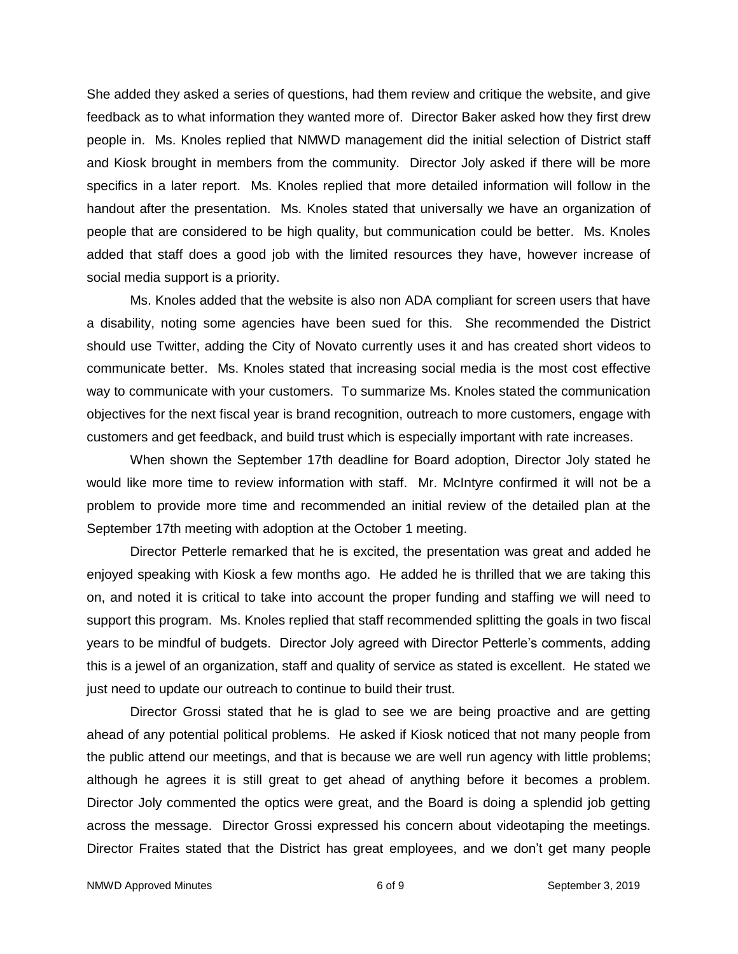She added they asked a series of questions, had them review and critique the website, and give feedback as to what information they wanted more of. Director Baker asked how they first drew people in. Ms. Knoles replied that NMWD management did the initial selection of District staff and Kiosk brought in members from the community. Director Joly asked if there will be more specifics in a later report. Ms. Knoles replied that more detailed information will follow in the handout after the presentation. Ms. Knoles stated that universally we have an organization of people that are considered to be high quality, but communication could be better. Ms. Knoles added that staff does a good job with the limited resources they have, however increase of social media support is a priority.

Ms. Knoles added that the website is also non ADA compliant for screen users that have a disability, noting some agencies have been sued for this. She recommended the District should use Twitter, adding the City of Novato currently uses it and has created short videos to communicate better. Ms. Knoles stated that increasing social media is the most cost effective way to communicate with your customers. To summarize Ms. Knoles stated the communication objectives for the next fiscal year is brand recognition, outreach to more customers, engage with customers and get feedback, and build trust which is especially important with rate increases.

When shown the September 17th deadline for Board adoption, Director Joly stated he would like more time to review information with staff. Mr. McIntyre confirmed it will not be a problem to provide more time and recommended an initial review of the detailed plan at the September 17th meeting with adoption at the October 1 meeting.

Director Petterle remarked that he is excited, the presentation was great and added he enjoyed speaking with Kiosk a few months ago. He added he is thrilled that we are taking this on, and noted it is critical to take into account the proper funding and staffing we will need to support this program. Ms. Knoles replied that staff recommended splitting the goals in two fiscal years to be mindful of budgets. Director Joly agreed with Director Petterle's comments, adding this is a jewel of an organization, staff and quality of service as stated is excellent. He stated we just need to update our outreach to continue to build their trust.

Director Grossi stated that he is glad to see we are being proactive and are getting ahead of any potential political problems. He asked if Kiosk noticed that not many people from the public attend our meetings, and that is because we are well run agency with little problems; although he agrees it is still great to get ahead of anything before it becomes a problem. Director Joly commented the optics were great, and the Board is doing a splendid job getting across the message. Director Grossi expressed his concern about videotaping the meetings. Director Fraites stated that the District has great employees, and we don't get many people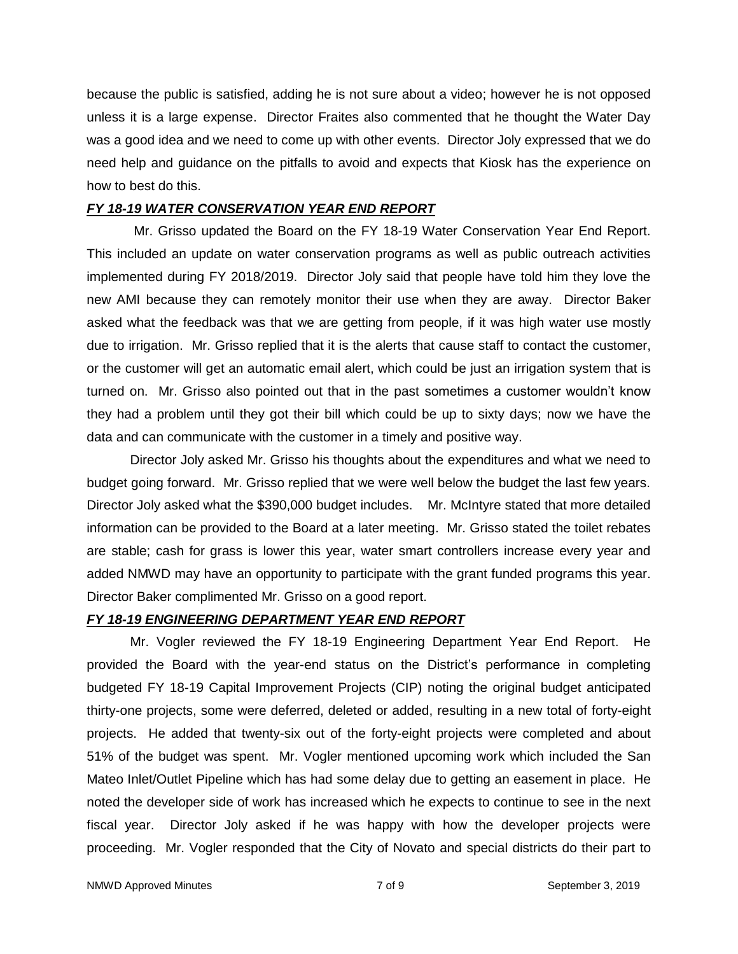because the public is satisfied, adding he is not sure about a video; however he is not opposed unless it is a large expense. Director Fraites also commented that he thought the Water Day was a good idea and we need to come up with other events. Director Joly expressed that we do need help and guidance on the pitfalls to avoid and expects that Kiosk has the experience on how to best do this.

#### *FY 18-19 WATER CONSERVATION YEAR END REPORT*

Mr. Grisso updated the Board on the FY 18-19 Water Conservation Year End Report. This included an update on water conservation programs as well as public outreach activities implemented during FY 2018/2019. Director Joly said that people have told him they love the new AMI because they can remotely monitor their use when they are away. Director Baker asked what the feedback was that we are getting from people, if it was high water use mostly due to irrigation. Mr. Grisso replied that it is the alerts that cause staff to contact the customer, or the customer will get an automatic email alert, which could be just an irrigation system that is turned on. Mr. Grisso also pointed out that in the past sometimes a customer wouldn't know they had a problem until they got their bill which could be up to sixty days; now we have the data and can communicate with the customer in a timely and positive way.

Director Joly asked Mr. Grisso his thoughts about the expenditures and what we need to budget going forward. Mr. Grisso replied that we were well below the budget the last few years. Director Joly asked what the \$390,000 budget includes. Mr. McIntyre stated that more detailed information can be provided to the Board at a later meeting. Mr. Grisso stated the toilet rebates are stable; cash for grass is lower this year, water smart controllers increase every year and added NMWD may have an opportunity to participate with the grant funded programs this year. Director Baker complimented Mr. Grisso on a good report.

#### *FY 18-19 ENGINEERING DEPARTMENT YEAR END REPORT*

Mr. Vogler reviewed the FY 18-19 Engineering Department Year End Report. He provided the Board with the year-end status on the District's performance in completing budgeted FY 18-19 Capital Improvement Projects (CIP) noting the original budget anticipated thirty-one projects, some were deferred, deleted or added, resulting in a new total of forty-eight projects. He added that twenty-six out of the forty-eight projects were completed and about 51% of the budget was spent. Mr. Vogler mentioned upcoming work which included the San Mateo Inlet/Outlet Pipeline which has had some delay due to getting an easement in place. He noted the developer side of work has increased which he expects to continue to see in the next fiscal year. Director Joly asked if he was happy with how the developer projects were proceeding. Mr. Vogler responded that the City of Novato and special districts do their part to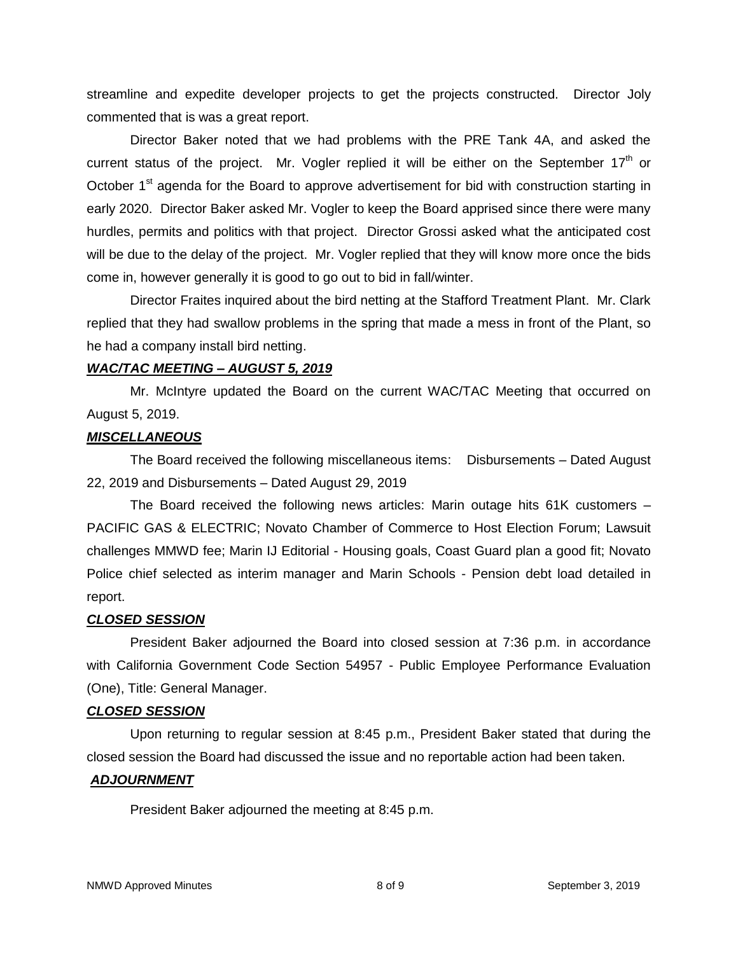streamline and expedite developer projects to get the projects constructed. Director Joly commented that is was a great report.

Director Baker noted that we had problems with the PRE Tank 4A, and asked the current status of the project. Mr. Vogler replied it will be either on the September  $17<sup>th</sup>$  or October 1<sup>st</sup> agenda for the Board to approve advertisement for bid with construction starting in early 2020. Director Baker asked Mr. Vogler to keep the Board apprised since there were many hurdles, permits and politics with that project. Director Grossi asked what the anticipated cost will be due to the delay of the project. Mr. Vogler replied that they will know more once the bids come in, however generally it is good to go out to bid in fall/winter.

Director Fraites inquired about the bird netting at the Stafford Treatment Plant. Mr. Clark replied that they had swallow problems in the spring that made a mess in front of the Plant, so he had a company install bird netting.

#### *WAC/TAC MEETING – AUGUST 5, 2019*

Mr. McIntyre updated the Board on the current WAC/TAC Meeting that occurred on August 5, 2019.

#### *MISCELLANEOUS*

The Board received the following miscellaneous items: Disbursements – Dated August 22, 2019 and Disbursements – Dated August 29, 2019

The Board received the following news articles: Marin outage hits 61K customers – PACIFIC GAS & ELECTRIC; Novato Chamber of Commerce to Host Election Forum; Lawsuit challenges MMWD fee; Marin IJ Editorial - Housing goals, Coast Guard plan a good fit; Novato Police chief selected as interim manager and Marin Schools - Pension debt load detailed in report.

#### *CLOSED SESSION*

President Baker adjourned the Board into closed session at 7:36 p.m. in accordance with California Government Code Section 54957 - Public Employee Performance Evaluation (One), Title: General Manager.

#### *CLOSED SESSION*

Upon returning to regular session at 8:45 p.m., President Baker stated that during the closed session the Board had discussed the issue and no reportable action had been taken.

## *ADJOURNMENT*

President Baker adjourned the meeting at 8:45 p.m.